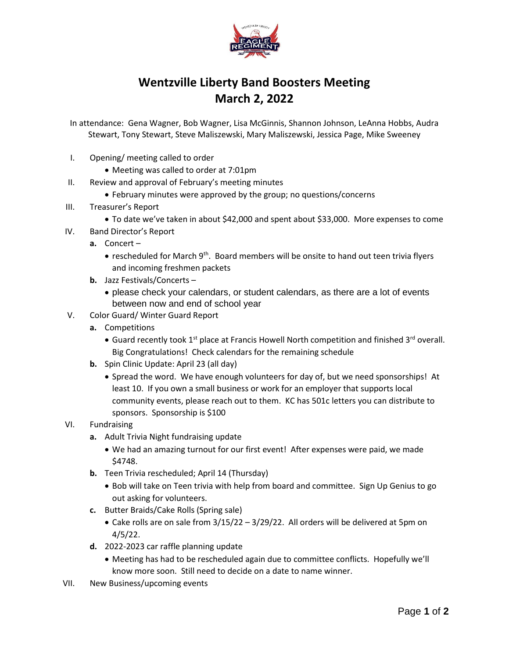

## **Wentzville Liberty Band Boosters Meeting March 2, 2022**

In attendance: Gena Wagner, Bob Wagner, Lisa McGinnis, Shannon Johnson, LeAnna Hobbs, Audra Stewart, Tony Stewart, Steve Maliszewski, Mary Maliszewski, Jessica Page, Mike Sweeney

- I. Opening/ meeting called to order
	- Meeting was called to order at 7:01pm
- II. Review and approval of February's meeting minutes
	- February minutes were approved by the group; no questions/concerns
- III. Treasurer's Report
	- To date we've taken in about \$42,000 and spent about \$33,000. More expenses to come
- IV. Band Director's Report
	- **a.** Concert
		- rescheduled for March 9<sup>th</sup>. Board members will be onsite to hand out teen trivia flyers and incoming freshmen packets
	- **b.** Jazz Festivals/Concerts
		- please check your calendars, or student calendars, as there are a lot of events between now and end of school year
- V. Color Guard/ Winter Guard Report
	- **a.** Competitions
		- Guard recently took  $1^{st}$  place at Francis Howell North competition and finished  $3^{rd}$  overall. Big Congratulations! Check calendars for the remaining schedule
	- **b.** Spin Clinic Update: April 23 (all day)
		- Spread the word. We have enough volunteers for day of, but we need sponsorships! At least 10. If you own a small business or work for an employer that supports local community events, please reach out to them. KC has 501c letters you can distribute to sponsors. Sponsorship is \$100
- VI. Fundraising
	- **a.** Adult Trivia Night fundraising update
		- We had an amazing turnout for our first event! After expenses were paid, we made \$4748.
	- **b.** Teen Trivia rescheduled; April 14 (Thursday)
		- Bob will take on Teen trivia with help from board and committee. Sign Up Genius to go out asking for volunteers.
	- **c.** Butter Braids/Cake Rolls (Spring sale)
		- Cake rolls are on sale from 3/15/22 3/29/22. All orders will be delivered at 5pm on 4/5/22.
	- **d.** 2022-2023 car raffle planning update
		- Meeting has had to be rescheduled again due to committee conflicts. Hopefully we'll know more soon. Still need to decide on a date to name winner.
- VII. New Business/upcoming events